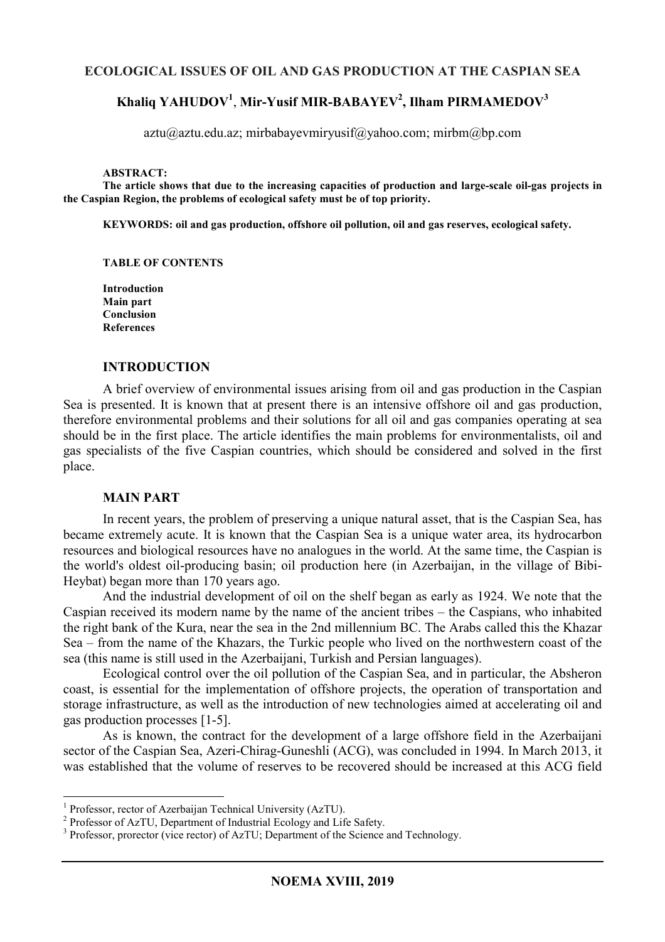### **ECOLOGICAL ISSUES OF OIL AND GAS PRODUCTION AT THE CASPIAN SEA**

# **Khaliq YAHUDOV<sup>1</sup>** , **Mir-Yusif MIR-BABAYEV<sup>2</sup> , Ilham PIRMAMEDOV<sup>3</sup>**

 $aztu@aztu.edu.az; mirbabayewmiryusi@yahoo.com; mirbm@bp.com$ 

**ABSTRACT:** 

**The article shows that due to the increasing capacities of production and large-scale oil-gas projects in the Caspian Region, the problems of ecological safety must be of top priority.** 

**KEYWORDS: oil and gas production, offshore oil pollution, oil and gas reserves, ecological safety.** 

**TABLE OF CONTENTS** 

**Introduction Main part Conclusion References** 

### **INTRODUCTION**

A brief overview of environmental issues arising from oil and gas production in the Caspian Sea is presented. It is known that at present there is an intensive offshore oil and gas production, therefore environmental problems and their solutions for all oil and gas companies operating at sea should be in the first place. The article identifies the main problems for environmentalists, oil and gas specialists of the five Caspian countries, which should be considered and solved in the first place.

#### **MAIN PART**

In recent years, the problem of preserving a unique natural asset, that is the Caspian Sea, has became extremely acute. It is known that the Caspian Sea is a unique water area, its hydrocarbon resources and biological resources have no analogues in the world. At the same time, the Caspian is the world's oldest oil-producing basin; oil production here (in Azerbaijan, in the village of Bibi-Heybat) began more than 170 years ago.

And the industrial development of oil on the shelf began as early as 1924. We note that the Caspian received its modern name by the name of the ancient tribes – the Caspians, who inhabited the right bank of the Kura, near the sea in the 2nd millennium BC. The Arabs called this the Khazar Sea – from the name of the Khazars, the Turkic people who lived on the northwestern coast of the sea (this name is still used in the Azerbaijani, Turkish and Persian languages).

Ecological control over the oil pollution of the Caspian Sea, and in particular, the Absheron coast, is essential for the implementation of offshore projects, the operation of transportation and storage infrastructure, as well as the introduction of new technologies aimed at accelerating oil and gas production processes [1-5].

As is known, the contract for the development of a large offshore field in the Azerbaijani sector of the Caspian Sea, Azeri-Chirag-Guneshli (ACG), was concluded in 1994. In March 2013, it was established that the volume of reserves to be recovered should be increased at this ACG field

 1 Professor, rector of Azerbaijan Technical University (AzTU).

<sup>&</sup>lt;sup>2</sup> Professor of AzTU, Department of Industrial Ecology and Life Safety.

<sup>&</sup>lt;sup>3</sup> Professor, prorector (vice rector) of AzTU; Department of the Science and Technology.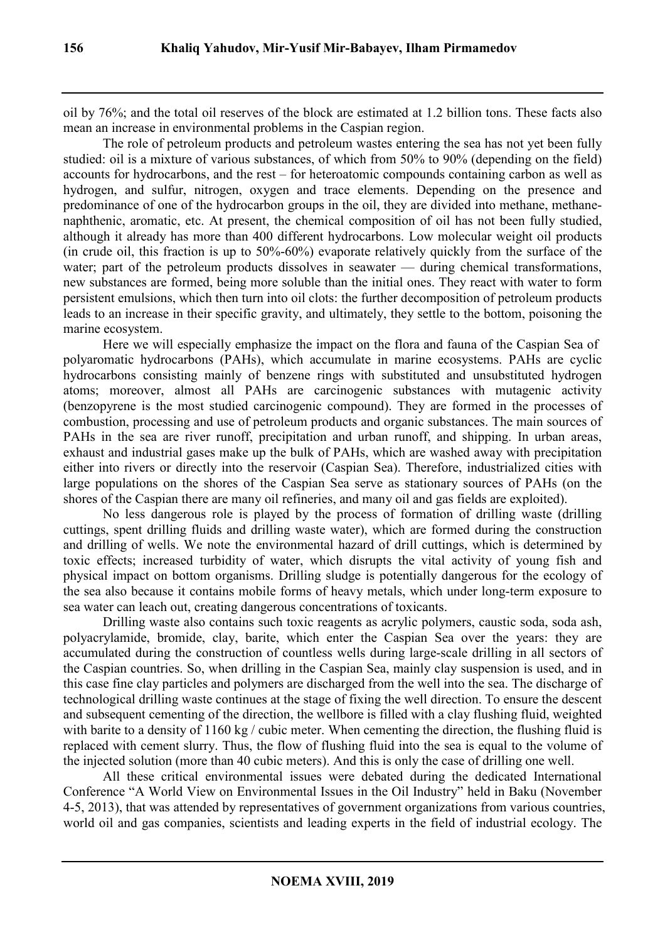oil by 76%; and the total oil reserves of the block are estimated at 1.2 billion tons. These facts also mean an increase in environmental problems in the Caspian region.

The role of petroleum products and petroleum wastes entering the sea has not yet been fully studied: oil is a mixture of various substances, of which from 50% to 90% (depending on the field) accounts for hydrocarbons, and the rest – for heteroatomic compounds containing carbon as well as hydrogen, and sulfur, nitrogen, oxygen and trace elements. Depending on the presence and predominance of one of the hydrocarbon groups in the oil, they are divided into methane, methanenaphthenic, aromatic, etc. At present, the chemical composition of oil has not been fully studied, although it already has more than 400 different hydrocarbons. Low molecular weight oil products (in crude oil, this fraction is up to 50%-60%) evaporate relatively quickly from the surface of the water; part of the petroleum products dissolves in seawater — during chemical transformations, new substances are formed, being more soluble than the initial ones. They react with water to form persistent emulsions, which then turn into oil clots: the further decomposition of petroleum products leads to an increase in their specific gravity, and ultimately, they settle to the bottom, poisoning the marine ecosystem.

Here we will especially emphasize the impact on the flora and fauna of the Caspian Sea of polyaromatic hydrocarbons (PAHs), which accumulate in marine ecosystems. PAHs are cyclic hydrocarbons consisting mainly of benzene rings with substituted and unsubstituted hydrogen atoms; moreover, almost all PAHs are carcinogenic substances with mutagenic activity (benzopyrene is the most studied carcinogenic compound). They are formed in the processes of combustion, processing and use of petroleum products and organic substances. The main sources of PAHs in the sea are river runoff, precipitation and urban runoff, and shipping. In urban areas, exhaust and industrial gases make up the bulk of PAHs, which are washed away with precipitation either into rivers or directly into the reservoir (Caspian Sea). Therefore, industrialized cities with large populations on the shores of the Caspian Sea serve as stationary sources of PAHs (on the shores of the Caspian there are many oil refineries, and many oil and gas fields are exploited).

No less dangerous role is played by the process of formation of drilling waste (drilling cuttings, spent drilling fluids and drilling waste water), which are formed during the construction and drilling of wells. We note the environmental hazard of drill cuttings, which is determined by toxic effects; increased turbidity of water, which disrupts the vital activity of young fish and physical impact on bottom organisms. Drilling sludge is potentially dangerous for the ecology of the sea also because it contains mobile forms of heavy metals, which under long-term exposure to sea water can leach out, creating dangerous concentrations of toxicants.

Drilling waste also contains such toxic reagents as acrylic polymers, caustic soda, soda ash, polyacrylamide, bromide, clay, barite, which enter the Caspian Sea over the years: they are accumulated during the construction of countless wells during large-scale drilling in all sectors of the Caspian countries. So, when drilling in the Caspian Sea, mainly clay suspension is used, and in this case fine clay particles and polymers are discharged from the well into the sea. The discharge of technological drilling waste continues at the stage of fixing the well direction. To ensure the descent and subsequent cementing of the direction, the wellbore is filled with a clay flushing fluid, weighted with barite to a density of 1160 kg / cubic meter. When cementing the direction, the flushing fluid is replaced with cement slurry. Thus, the flow of flushing fluid into the sea is equal to the volume of the injected solution (more than 40 cubic meters). And this is only the case of drilling one well.

All these critical environmental issues were debated during the dedicated International Conference "A World View on Environmental Issues in the Oil Industry" held in Baku (November 4-5, 2013), that was attended by representatives of government organizations from various countries, world oil and gas companies, scientists and leading experts in the field of industrial ecology. The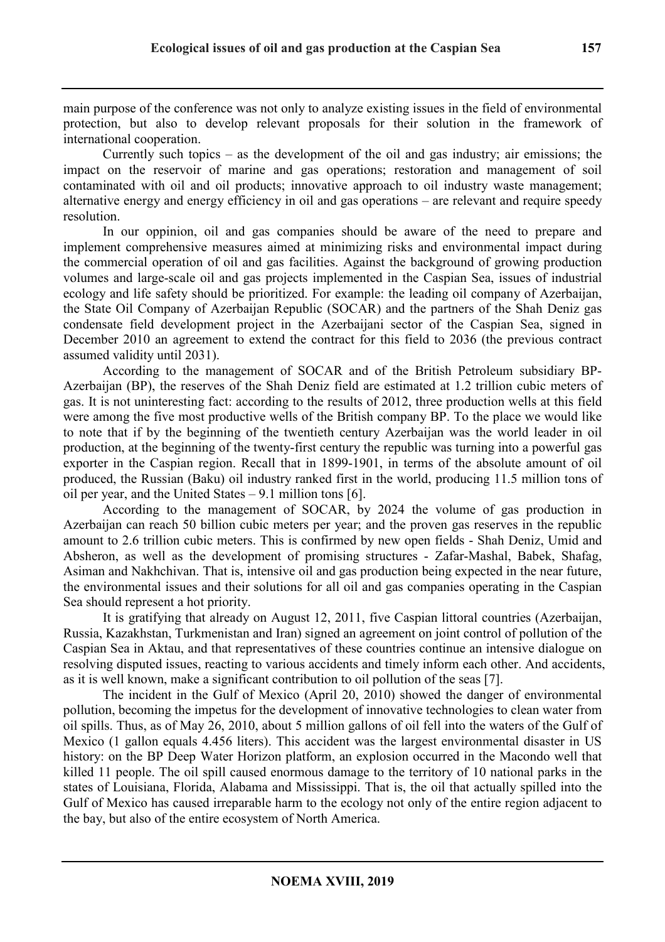main purpose of the conference was not only to analyze existing issues in the field of environmental protection, but also to develop relevant proposals for their solution in the framework of international cooperation.

Currently such topics – as the development of the oil and gas industry; air emissions; the impact on the reservoir of marine and gas operations; restoration and management of soil contaminated with oil and oil products; innovative approach to oil industry waste management; alternative energy and energy efficiency in oil and gas operations – are relevant and require speedy resolution.

In our oppinion, oil and gas companies should be aware of the need to prepare and implement comprehensive measures aimed at minimizing risks and environmental impact during the commercial operation of oil and gas facilities. Against the background of growing production volumes and large-scale oil and gas projects implemented in the Caspian Sea, issues of industrial ecology and life safety should be prioritized. For example: the leading oil company of Azerbaijan, the State Oil Company of Azerbaijan Republic (SOCAR) and the partners of the Shah Deniz gas condensate field development project in the Azerbaijani sector of the Caspian Sea, signed in December 2010 an agreement to extend the contract for this field to 2036 (the previous contract assumed validity until 2031).

According to the management of SOCAR and of the British Petroleum subsidiary BP-Azerbaijan (BP), the reserves of the Shah Deniz field are estimated at 1.2 trillion cubic meters of gas. It is not uninteresting fact: according to the results of 2012, three production wells at this field were among the five most productive wells of the British company BP. To the place we would like to note that if by the beginning of the twentieth century Azerbaijan was the world leader in oil production, at the beginning of the twenty-first century the republic was turning into a powerful gas exporter in the Caspian region. Recall that in 1899-1901, in terms of the absolute amount of oil produced, the Russian (Baku) oil industry ranked first in the world, producing 11.5 million tons of oil per year, and the United States – 9.1 million tons [6].

According to the management of SOCAR, by 2024 the volume of gas production in Azerbaijan can reach 50 billion cubic meters per year; and the proven gas reserves in the republic amount to 2.6 trillion cubic meters. This is confirmed by new open fields - Shah Deniz, Umid and Absheron, as well as the development of promising structures - Zafar-Mashal, Babek, Shafag, Asiman and Nakhchivan. That is, intensive oil and gas production being expected in the near future, the environmental issues and their solutions for all oil and gas companies operating in the Caspian Sea should represent a hot priority.

It is gratifying that already on August 12, 2011, five Caspian littoral countries (Azerbaijan, Russia, Kazakhstan, Turkmenistan and Iran) signed an agreement on joint control of pollution of the Caspian Sea in Aktau, and that representatives of these countries continue an intensive dialogue on resolving disputed issues, reacting to various accidents and timely inform each other. And accidents, as it is well known, make a significant contribution to oil pollution of the seas [7].

The incident in the Gulf of Mexico (April 20, 2010) showed the danger of environmental pollution, becoming the impetus for the development of innovative technologies to clean water from oil spills. Thus, as of May 26, 2010, about 5 million gallons of oil fell into the waters of the Gulf of Mexico (1 gallon equals 4.456 liters). This accident was the largest environmental disaster in US history: on the BP Deep Water Horizon platform, an explosion occurred in the Macondo well that killed 11 people. The oil spill caused enormous damage to the territory of 10 national parks in the states of Louisiana, Florida, Alabama and Mississippi. That is, the oil that actually spilled into the Gulf of Mexico has caused irreparable harm to the ecology not only of the entire region adjacent to the bay, but also of the entire ecosystem of North America.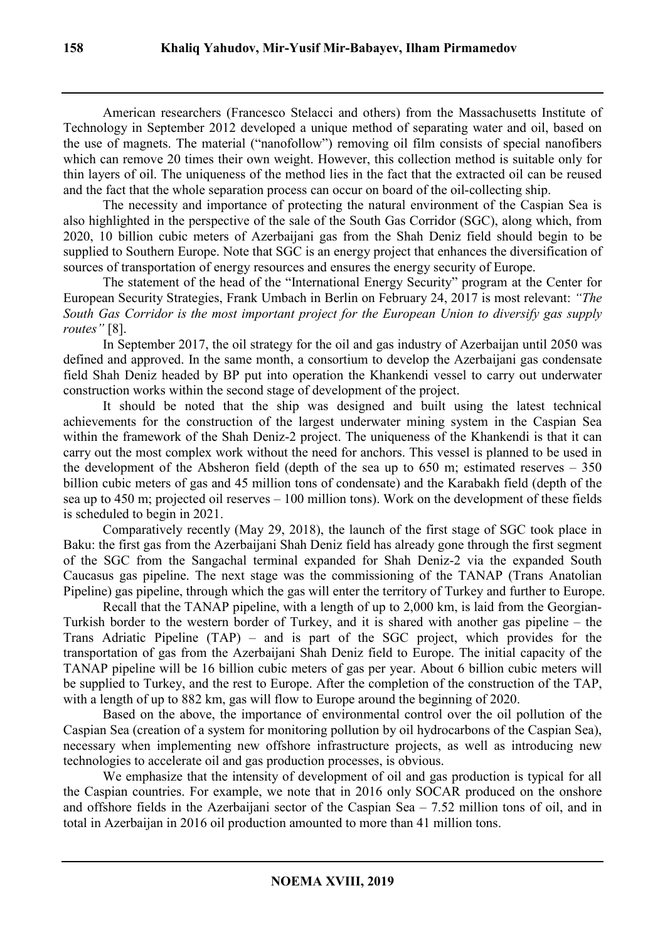American researchers (Francesco Stelacci and others) from the Massachusetts Institute of Technology in September 2012 developed a unique method of separating water and oil, based on the use of magnets. The material ("nanofollow") removing oil film consists of special nanofibers which can remove 20 times their own weight. However, this collection method is suitable only for thin layers of oil. The uniqueness of the method lies in the fact that the extracted oil can be reused and the fact that the whole separation process can occur on board of the oil-collecting ship.

The necessity and importance of protecting the natural environment of the Caspian Sea is also highlighted in the perspective of the sale of the South Gas Corridor (SGC), along which, from 2020, 10 billion cubic meters of Azerbaijani gas from the Shah Deniz field should begin to be supplied to Southern Europe. Note that SGC is an energy project that enhances the diversification of sources of transportation of energy resources and ensures the energy security of Europe.

The statement of the head of the "International Energy Security" program at the Center for European Security Strategies, Frank Umbach in Berlin on February 24, 2017 is most relevant: *"The South Gas Corridor is the most important project for the European Union to diversify gas supply routes"* [8].

In September 2017, the oil strategy for the oil and gas industry of Azerbaijan until 2050 was defined and approved. In the same month, a consortium to develop the Azerbaijani gas condensate field Shah Deniz headed by BP put into operation the Khankendi vessel to carry out underwater construction works within the second stage of development of the project.

It should be noted that the ship was designed and built using the latest technical achievements for the construction of the largest underwater mining system in the Caspian Sea within the framework of the Shah Deniz-2 project. The uniqueness of the Khankendi is that it can carry out the most complex work without the need for anchors. This vessel is planned to be used in the development of the Absheron field (depth of the sea up to 650 m; estimated reserves – 350 billion cubic meters of gas and 45 million tons of condensate) and the Karabakh field (depth of the sea up to 450 m; projected oil reserves – 100 million tons). Work on the development of these fields is scheduled to begin in 2021.

Comparatively recently (May 29, 2018), the launch of the first stage of SGC took place in Baku: the first gas from the Azerbaijani Shah Deniz field has already gone through the first segment of the SGC from the Sangachal terminal expanded for Shah Deniz-2 via the expanded South Caucasus gas pipeline. The next stage was the commissioning of the TANAP (Trans Anatolian Pipeline) gas pipeline, through which the gas will enter the territory of Turkey and further to Europe.

Recall that the TANAP pipeline, with a length of up to 2,000 km, is laid from the Georgian-Turkish border to the western border of Turkey, and it is shared with another gas pipeline – the Trans Adriatic Pipeline (TAP) – and is part of the SGC project, which provides for the transportation of gas from the Azerbaijani Shah Deniz field to Europe. The initial capacity of the TANAP pipeline will be 16 billion cubic meters of gas per year. About 6 billion cubic meters will be supplied to Turkey, and the rest to Europe. After the completion of the construction of the TAP, with a length of up to 882 km, gas will flow to Europe around the beginning of 2020.

Based on the above, the importance of environmental control over the oil pollution of the Caspian Sea (creation of a system for monitoring pollution by oil hydrocarbons of the Caspian Sea), necessary when implementing new offshore infrastructure projects, as well as introducing new technologies to accelerate oil and gas production processes, is obvious.

We emphasize that the intensity of development of oil and gas production is typical for all the Caspian countries. For example, we note that in 2016 only SOCAR produced on the onshore and offshore fields in the Azerbaijani sector of the Caspian Sea – 7.52 million tons of oil, and in total in Azerbaijan in 2016 oil production amounted to more than 41 million tons.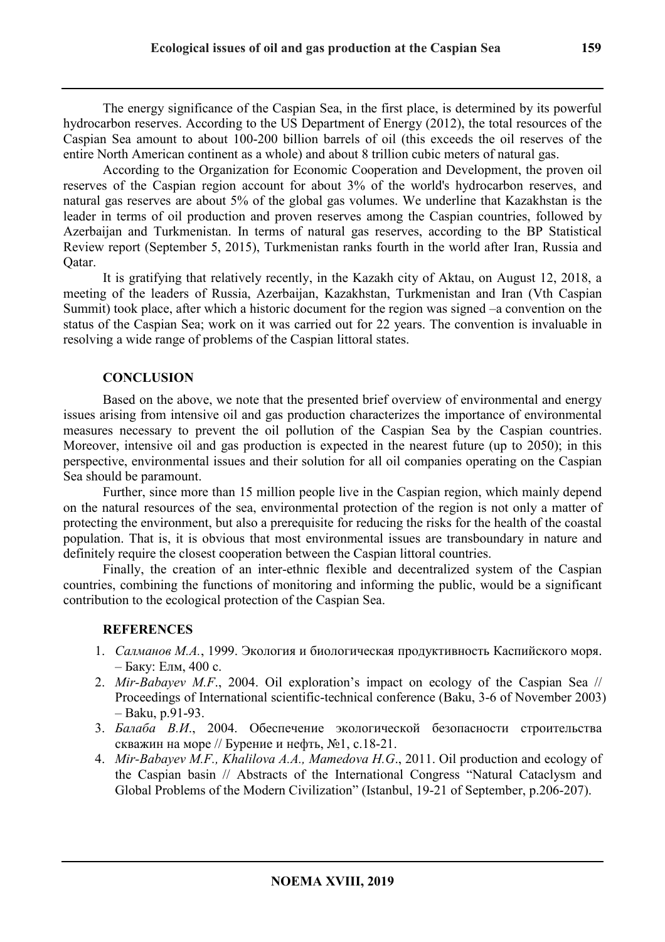The energy significance of the Caspian Sea, in the first place, is determined by its powerful hydrocarbon reserves. According to the US Department of Energy (2012), the total resources of the Caspian Sea amount to about 100-200 billion barrels of oil (this exceeds the oil reserves of the entire North American continent as a whole) and about 8 trillion cubic meters of natural gas.

According to the Organization for Economic Cooperation and Development, the proven oil reserves of the Caspian region account for about 3% of the world's hydrocarbon reserves, and natural gas reserves are about 5% of the global gas volumes. We underline that Kazakhstan is the leader in terms of oil production and proven reserves among the Caspian countries, followed by Azerbaijan and Turkmenistan. In terms of natural gas reserves, according to the BP Statistical Review report (September 5, 2015), Turkmenistan ranks fourth in the world after Iran, Russia and Qatar.

It is gratifying that relatively recently, in the Kazakh city of Aktau, on August 12, 2018, a meeting of the leaders of Russia, Azerbaijan, Kazakhstan, Turkmenistan and Iran (Vth Caspian Summit) took place, after which a historic document for the region was signed –a convention on the status of the Caspian Sea; work on it was carried out for 22 years. The convention is invaluable in resolving a wide range of problems of the Caspian littoral states.

## **CONCLUSION**

Based on the above, we note that the presented brief overview of environmental and energy issues arising from intensive oil and gas production characterizes the importance of environmental measures necessary to prevent the oil pollution of the Caspian Sea by the Caspian countries. Moreover, intensive oil and gas production is expected in the nearest future (up to 2050); in this perspective, environmental issues and their solution for all oil companies operating on the Caspian Sea should be paramount.

Further, since more than 15 million people live in the Caspian region, which mainly depend on the natural resources of the sea, environmental protection of the region is not only a matter of protecting the environment, but also a prerequisite for reducing the risks for the health of the coastal population. That is, it is obvious that most environmental issues are transboundary in nature and definitely require the closest cooperation between the Caspian littoral countries.

Finally, the creation of an inter-ethnic flexible and decentralized system of the Caspian countries, combining the functions of monitoring and informing the public, would be a significant contribution to the ecological protection of the Caspian Sea.

## **REFERENCES**

- 1. *Салманов М.А.*, 1999. Экология и биологическая продуктивность Каспийского моря. – Баку: Елм, 400 с.
- 2. *Mir-Babayev M.F*., 2004. Oil exploration's impact on ecology of the Caspian Sea // Proceedings of International scientific-technical conference (Baku, 3-6 of November 2003) – Baku, p.91-93.
- 3. *Балаба В.И*., 2004. Обеспечение экологической безопасности строительства скважин на море // Бурение и нефть, №1, с.18-21.
- 4. *Mir-Babayev M.F., Khalilova A.A., Mamedova H.G*., 2011. Oil production and ecology of the Caspian basin // Abstracts of the International Congress "Natural Cataclysm and Global Problems of the Modern Civilization" (Istanbul, 19-21 of September, p.206-207).